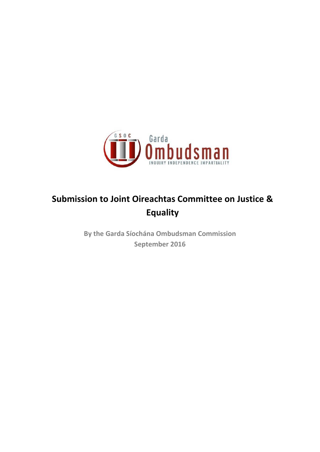

# **Submission to Joint Oireachtas Committee on Justice & Equality**

**By the Garda Síochána Ombudsman Commission September 2016**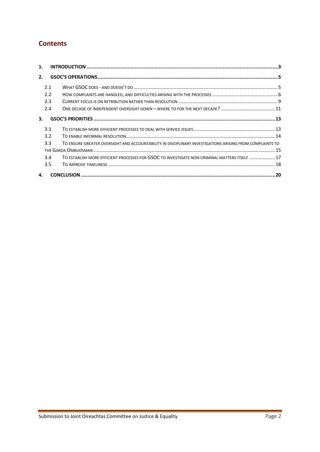# **Contents**

| 1. |     |                                                                                                          |  |
|----|-----|----------------------------------------------------------------------------------------------------------|--|
| 2. |     |                                                                                                          |  |
|    | 2.1 |                                                                                                          |  |
|    | 2.2 |                                                                                                          |  |
|    | 2.3 |                                                                                                          |  |
|    | 2.4 |                                                                                                          |  |
| 3. |     |                                                                                                          |  |
|    | 3.1 |                                                                                                          |  |
|    | 3.2 |                                                                                                          |  |
|    | 3.3 | TO ENSURE GREATER OVERSIGHT AND ACCOUNTABILITY IN DISCIPLINARY INVESTIGATIONS ARISING FROM COMPLAINTS TO |  |
|    |     |                                                                                                          |  |
|    | 3.4 | TO ESTABLISH MORE EFFICIENT PROCESSES FOR GSOC TO INVESTIGATE NON-CRIMINAL MATTERS ITSELF  17            |  |
|    | 3.5 |                                                                                                          |  |
| 4. |     |                                                                                                          |  |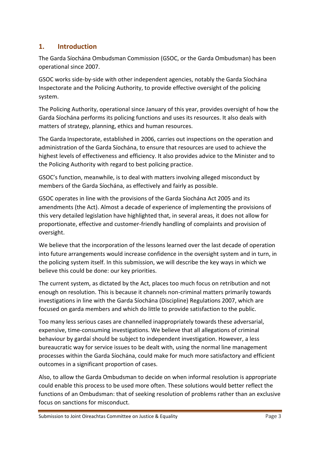# <span id="page-2-0"></span>**1. Introduction**

The Garda Síochána Ombudsman Commission (GSOC, or the Garda Ombudsman) has been operational since 2007.

GSOC works side-by-side with other independent agencies, notably the Garda Síochána Inspectorate and the Policing Authority, to provide effective oversight of the policing system.

The Policing Authority, operational since January of this year, provides oversight of how the Garda Síochána performs its policing functions and uses its resources. It also deals with matters of strategy, planning, ethics and human resources.

The Garda Inspectorate, established in 2006, carries out inspections on the operation and administration of the Garda Síochána, to ensure that resources are used to achieve the highest levels of effectiveness and efficiency. It also provides advice to the Minister and to the Policing Authority with regard to best policing practice.

GSOC's function, meanwhile, is to deal with matters involving alleged misconduct by members of the Garda Síochána, as effectively and fairly as possible.

GSOC operates in line with the provisions of the Garda Síochána Act 2005 and its amendments (the Act). Almost a decade of experience of implementing the provisions of this very detailed legislation have highlighted that, in several areas, it does not allow for proportionate, effective and customer-friendly handling of complaints and provision of oversight.

We believe that the incorporation of the lessons learned over the last decade of operation into future arrangements would increase confidence in the oversight system and in turn, in the policing system itself. In this submission, we will describe the key ways in which we believe this could be done: our key priorities.

The current system, as dictated by the Act, places too much focus on retribution and not enough on resolution. This is because it channels non-criminal matters primarily towards investigations in line with the Garda Síochána (Discipline) Regulations 2007, which are focused on garda members and which do little to provide satisfaction to the public.

Too many less serious cases are channelled inappropriately towards these adversarial, expensive, time-consuming investigations. We believe that all allegations of criminal behaviour by gardaí should be subject to independent investigation. However, a less bureaucratic way for service issues to be dealt with, using the normal line management processes within the Garda Síochána, could make for much more satisfactory and efficient outcomes in a significant proportion of cases.

Also, to allow the Garda Ombudsman to decide on when informal resolution is appropriate could enable this process to be used more often. These solutions would better reflect the functions of an Ombudsman: that of seeking resolution of problems rather than an exclusive focus on sanctions for misconduct.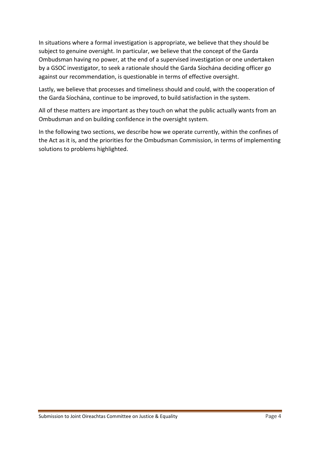In situations where a formal investigation is appropriate, we believe that they should be subject to genuine oversight. In particular, we believe that the concept of the Garda Ombudsman having no power, at the end of a supervised investigation or one undertaken by a GSOC investigator, to seek a rationale should the Garda Síochána deciding officer go against our recommendation, is questionable in terms of effective oversight.

Lastly, we believe that processes and timeliness should and could, with the cooperation of the Garda Síochána, continue to be improved, to build satisfaction in the system.

All of these matters are important as they touch on what the public actually wants from an Ombudsman and on building confidence in the oversight system.

In the following two sections, we describe how we operate currently, within the confines of the Act as it is, and the priorities for the Ombudsman Commission, in terms of implementing solutions to problems highlighted.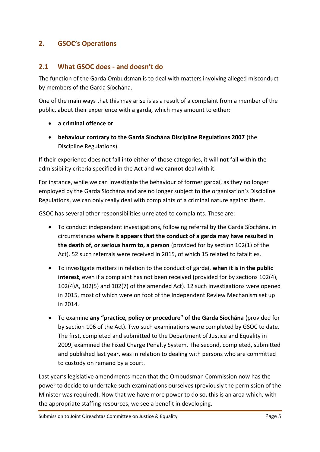# <span id="page-4-0"></span>**2. GSOC's Operations**

# <span id="page-4-1"></span>**2.1 What GSOC does - and doesn't do**

The function of the Garda Ombudsman is to deal with matters involving alleged misconduct by members of the Garda Síochána.

One of the main ways that this may arise is as a result of a complaint from a member of the public, about their experience with a garda, which may amount to either:

- **a criminal offence or**
- **behaviour contrary to the Garda Síochána Discipline Regulations 2007** (the Discipline Regulations).

If their experience does not fall into either of those categories, it will **not** fall within the admissibility criteria specified in the Act and we **cannot** deal with it.

For instance, while we can investigate the behaviour of former gardaí, as they no longer employed by the Garda Síochána and are no longer subject to the organisation's Discipline Regulations, we can only really deal with complaints of a criminal nature against them.

GSOC has several other responsibilities unrelated to complaints. These are:

- To conduct independent investigations, following referral by the Garda Síochána, in circumstances **where it appears that the conduct of a garda may have resulted in the death of, or serious harm to, a person** (provided for by section 102(1) of the Act). 52 such referrals were received in 2015, of which 15 related to fatalities.
- To investigate matters in relation to the conduct of gardaí, **when it is in the public interest**, even if a complaint has not been received (provided for by sections 102(4), 102(4)A, 102(5) and 102(7) of the amended Act). 12 such investigations were opened in 2015, most of which were on foot of the Independent Review Mechanism set up in 2014.
- To examine **any "practice, policy or procedure" of the Garda Síochána** (provided for by section 106 of the Act). Two such examinations were completed by GSOC to date. The first, completed and submitted to the Department of Justice and Equality in 2009, examined the Fixed Charge Penalty System. The second, completed, submitted and published last year, was in relation to dealing with persons who are committed to custody on remand by a court.

Last year's legislative amendments mean that the Ombudsman Commission now has the power to decide to undertake such examinations ourselves (previously the permission of the Minister was required). Now that we have more power to do so, this is an area which, with the appropriate staffing resources, we see a benefit in developing.

Submission to Joint Oireachtas Committee on Justice & Equality **Page 1 and Committee 3** Page 5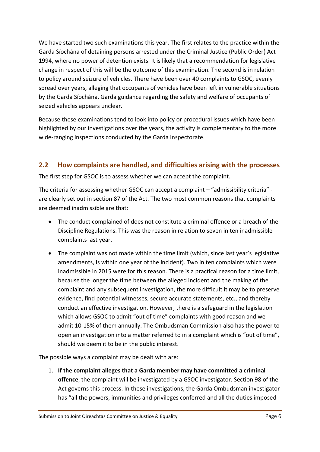We have started two such examinations this year. The first relates to the practice within the Garda Síochána of detaining persons arrested under the Criminal Justice (Public Order) Act 1994, where no power of detention exists. It is likely that a recommendation for legislative change in respect of this will be the outcome of this examination. The second is in relation to policy around seizure of vehicles. There have been over 40 complaints to GSOC, evenly spread over years, alleging that occupants of vehicles have been left in vulnerable situations by the Garda Síochána. Garda guidance regarding the safety and welfare of occupants of seized vehicles appears unclear.

Because these examinations tend to look into policy or procedural issues which have been highlighted by our investigations over the years, the activity is complementary to the more wide-ranging inspections conducted by the Garda Inspectorate.

# <span id="page-5-0"></span>**2.2 How complaints are handled, and difficulties arising with the processes**

The first step for GSOC is to assess whether we can accept the complaint.

The criteria for assessing whether GSOC can accept a complaint – "admissibility criteria" are clearly set out in section 87 of the Act. The two most common reasons that complaints are deemed inadmissible are that:

- The conduct complained of does not constitute a criminal offence or a breach of the Discipline Regulations. This was the reason in relation to seven in ten inadmissible complaints last year.
- The complaint was not made within the time limit (which, since last year's legislative amendments, is within one year of the incident). Two in ten complaints which were inadmissible in 2015 were for this reason. There is a practical reason for a time limit, because the longer the time between the alleged incident and the making of the complaint and any subsequent investigation, the more difficult it may be to preserve evidence, find potential witnesses, secure accurate statements, etc., and thereby conduct an effective investigation. However, there is a safeguard in the legislation which allows GSOC to admit "out of time" complaints with good reason and we admit 10-15% of them annually. The Ombudsman Commission also has the power to open an investigation into a matter referred to in a complaint which is "out of time", should we deem it to be in the public interest.

The possible ways a complaint may be dealt with are:

1. **If the complaint alleges that a Garda member may have committed a criminal offence**, the complaint will be investigated by a GSOC investigator. Section 98 of the Act governs this process. In these investigations, the Garda Ombudsman investigator has "all the powers, immunities and privileges conferred and all the duties imposed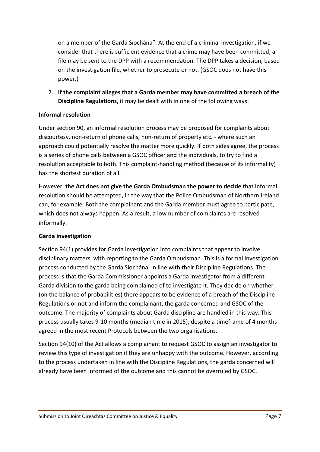on a member of the Garda Síochána". At the end of a criminal investigation, if we consider that there is sufficient evidence that a crime may have been committed, a file may be sent to the DPP with a recommendation. The DPP takes a decision, based on the investigation file, whether to prosecute or not. (GSOC does not have this power.)

2. **If the complaint alleges that a Garda member may have committed a breach of the Discipline Regulations**, it may be dealt with in one of the following ways:

### **Informal resolution**

Under section 90, an informal resolution process may be proposed for complaints about discourtesy, non-return of phone calls, non-return of property etc. - where such an approach could potentially resolve the matter more quickly. If both sides agree, the process is a series of phone calls between a GSOC officer and the individuals, to try to find a resolution acceptable to both. This complaint-handling method (because of its informality) has the shortest duration of all.

However, **the Act does not give the Garda Ombudsman the power to decide** that informal resolution should be attempted, in the way that the Police Ombudsman of Northern Ireland can, for example. Both the complainant and the Garda member must agree to participate, which does not always happen. As a result, a low number of complaints are resolved informally.

#### **Garda investigation**

Section 94(1) provides for Garda investigation into complaints that appear to involve disciplinary matters, with reporting to the Garda Ombudsman. This is a formal investigation process conducted by the Garda Síochána, in line with their Discipline Regulations. The process is that the Garda Commissioner appoints a Garda investigator from a different Garda division to the garda being complained of to investigate it. They decide on whether (on the balance of probabilities) there appears to be evidence of a breach of the Discipline Regulations or not and inform the complainant, the garda concerned and GSOC of the outcome. The majority of complaints about Garda discipline are handled in this way. This process usually takes 9-10 months (median time in 2015), despite a timeframe of 4 months agreed in the most recent Protocols between the two organisations.

Section 94(10) of the Act allows a complainant to request GSOC to assign an investigator to review this type of investigation if they are unhappy with the outcome. However, according to the process undertaken in line with the Discipline Regulations, the garda concerned will already have been informed of the outcome and this cannot be overruled by GSOC.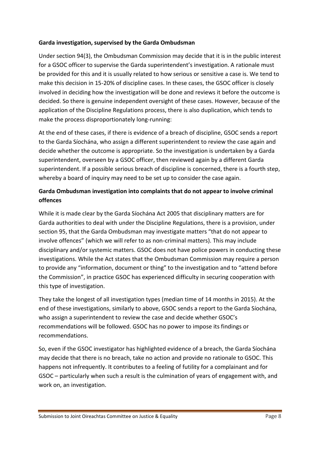### **Garda investigation, supervised by the Garda Ombudsman**

Under section 94(3), the Ombudsman Commission may decide that it is in the public interest for a GSOC officer to supervise the Garda superintendent's investigation. A rationale must be provided for this and it is usually related to how serious or sensitive a case is. We tend to make this decision in 15-20% of discipline cases. In these cases, the GSOC officer is closely involved in deciding how the investigation will be done and reviews it before the outcome is decided. So there is genuine independent oversight of these cases. However, because of the application of the Discipline Regulations process, there is also duplication, which tends to make the process disproportionately long-running:

At the end of these cases, if there is evidence of a breach of discipline, GSOC sends a report to the Garda Síochána, who assign a different superintendent to review the case again and decide whether the outcome is appropriate. So the investigation is undertaken by a Garda superintendent, overseen by a GSOC officer, then reviewed again by a different Garda superintendent. If a possible serious breach of discipline is concerned, there is a fourth step, whereby a board of inquiry may need to be set up to consider the case again.

# **Garda Ombudsman investigation into complaints that do not appear to involve criminal offences**

While it is made clear by the Garda Síochána Act 2005 that disciplinary matters are for Garda authorities to deal with under the Discipline Regulations, there is a provision, under section 95, that the Garda Ombudsman may investigate matters "that do not appear to involve offences" (which we will refer to as non-criminal matters). This may include disciplinary and/or systemic matters. GSOC does not have police powers in conducting these investigations. While the Act states that the Ombudsman Commission may require a person to provide any "information, document or thing" to the investigation and to "attend before the Commission", in practice GSOC has experienced difficulty in securing cooperation with this type of investigation.

They take the longest of all investigation types (median time of 14 months in 2015). At the end of these investigations, similarly to above, GSOC sends a report to the Garda Síochána, who assign a superintendent to review the case and decide whether GSOC's recommendations will be followed. GSOC has no power to impose its findings or recommendations.

So, even if the GSOC investigator has highlighted evidence of a breach, the Garda Síochána may decide that there is no breach, take no action and provide no rationale to GSOC. This happens not infrequently. It contributes to a feeling of futility for a complainant and for GSOC – particularly when such a result is the culmination of years of engagement with, and work on, an investigation.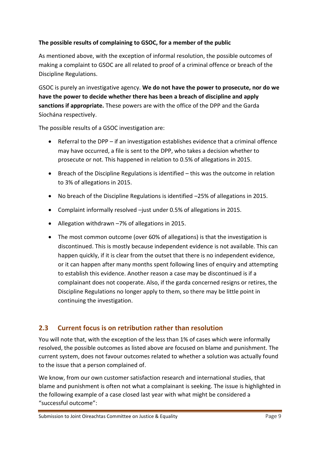### **The possible results of complaining to GSOC, for a member of the public**

As mentioned above, with the exception of informal resolution, the possible outcomes of making a complaint to GSOC are all related to proof of a criminal offence or breach of the Discipline Regulations.

GSOC is purely an investigative agency. **We do not have the power to prosecute, nor do we have the power to decide whether there has been a breach of discipline and apply sanctions if appropriate.** These powers are with the office of the DPP and the Garda Síochána respectively.

The possible results of a GSOC investigation are:

- Referral to the DPP if an investigation establishes evidence that a criminal offence may have occurred, a file is sent to the DPP, who takes a decision whether to prosecute or not. This happened in relation to 0.5% of allegations in 2015.
- Breach of the Discipline Regulations is identified this was the outcome in relation to 3% of allegations in 2015.
- No breach of the Discipline Regulations is identified –25% of allegations in 2015.
- Complaint informally resolved –just under 0.5% of allegations in 2015.
- Allegation withdrawn –7% of allegations in 2015.
- The most common outcome (over 60% of allegations) is that the investigation is discontinued. This is mostly because independent evidence is not available. This can happen quickly, if it is clear from the outset that there is no independent evidence, or it can happen after many months spent following lines of enquiry and attempting to establish this evidence. Another reason a case may be discontinued is if a complainant does not cooperate. Also, if the garda concerned resigns or retires, the Discipline Regulations no longer apply to them, so there may be little point in continuing the investigation.

# <span id="page-8-0"></span>**2.3 Current focus is on retribution rather than resolution**

You will note that, with the exception of the less than 1% of cases which were informally resolved, the possible outcomes as listed above are focused on blame and punishment. The current system, does not favour outcomes related to whether a solution was actually found to the issue that a person complained of.

We know, from our own customer satisfaction research and international studies, that blame and punishment is often not what a complainant is seeking. The issue is highlighted in the following example of a case closed last year with what might be considered a "successful outcome":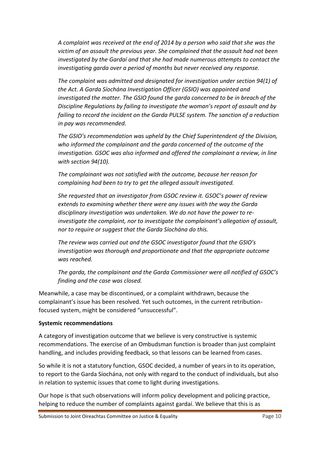*A complaint was received at the end of 2014 by a person who said that she was the victim of an assault the previous year. She complained that the assault had not been investigated by the Gardaí and that she had made numerous attempts to contact the investigating garda over a period of months but never received any response.*

*The complaint was admitted and designated for investigation under section 94(1) of the Act. A Garda Síochána Investigation Officer (GSIO) was appointed and investigated the matter. The GSIO found the garda concerned to be in breach of the Discipline Regulations by failing to investigate the woman's report of assault and by failing to record the incident on the Garda PULSE system. The sanction of a reduction in pay was recommended.*

*The GSIO's recommendation was upheld by the Chief Superintendent of the Division, who informed the complainant and the garda concerned of the outcome of the investigation. GSOC was also informed and offered the complainant a review, in line with section 94(10).*

*The complainant was not satisfied with the outcome, because her reason for complaining had been to try to get the alleged assault investigated.* 

*She requested that an investigator from GSOC review it. GSOC's power of review extends to examining whether there were any issues with the way the Garda disciplinary investigation was undertaken. We do not have the power to reinvestigate the complaint, nor to investigate the complainant's allegation of assault, nor to require or suggest that the Garda Síochána do this.*

*The review was carried out and the GSOC investigator found that the GSIO's investigation was thorough and proportionate and that the appropriate outcome was reached.*

*The garda, the complainant and the Garda Commissioner were all notified of GSOC's finding and the case was closed.*

Meanwhile, a case may be discontinued, or a complaint withdrawn, because the complainant's issue has been resolved. Yet such outcomes, in the current retributionfocused system, might be considered "unsuccessful".

### **Systemic recommendations**

A category of investigation outcome that we believe is very constructive is systemic recommendations. The exercise of an Ombudsman function is broader than just complaint handling, and includes providing feedback, so that lessons can be learned from cases.

So while it is not a statutory function, GSOC decided, a number of years in to its operation, to report to the Garda Síochána, not only with regard to the conduct of individuals, but also in relation to systemic issues that come to light during investigations.

Our hope is that such observations will inform policy development and policing practice, helping to reduce the number of complaints against gardaí. We believe that this is as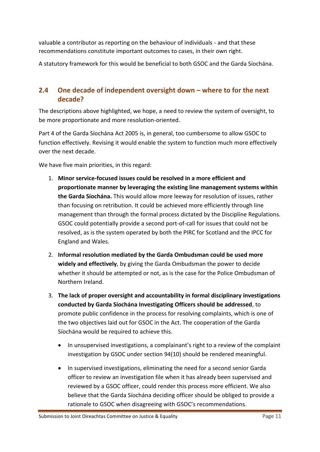valuable a contributor as reporting on the behaviour of individuals - and that these recommendations constitute important outcomes to cases, in their own right.

A statutory framework for this would be beneficial to both GSOC and the Garda Síochána.

# <span id="page-10-0"></span>**2.4 One decade of independent oversight down – where to for the next decade?**

The descriptions above highlighted, we hope, a need to review the system of oversight, to be more proportionate and more resolution-oriented.

Part 4 of the Garda Síochána Act 2005 is, in general, too cumbersome to allow GSOC to function effectively. Revising it would enable the system to function much more effectively over the next decade.

We have five main priorities, in this regard:

- 1. **Minor service-focused issues could be resolved in a more efficient and proportionate manner by leveraging the existing line management systems within the Garda Síochána.** This would allow more leeway for resolution of issues, rather than focusing on retribution. It could be achieved more efficiently through line management than through the formal process dictated by the Discipline Regulations. GSOC could potentially provide a second port-of-call for issues that could not be resolved, as is the system operated by both the PIRC for Scotland and the IPCC for England and Wales.
- 2. **Informal resolution mediated by the Garda Ombudsman could be used more widely and effectively**, by giving the Garda Ombudsman the power to decide whether it should be attempted or not, as is the case for the Police Ombudsman of Northern Ireland.
- 3. **The lack of proper oversight and accountability in formal disciplinary investigations conducted by Garda Síochána Investigating Officers should be addressed**, to promote public confidence in the process for resolving complaints, which is one of the two objectives laid out for GSOC in the Act. The cooperation of the Garda Síochána would be required to achieve this.
	- In unsupervised investigations, a complainant's right to a review of the complaint investigation by GSOC under section 94(10) should be rendered meaningful.
	- In supervised investigations, eliminating the need for a second senior Garda officer to review an investigation file when it has already been supervised and reviewed by a GSOC officer, could render this process more efficient. We also believe that the Garda Síochána deciding officer should be obliged to provide a rationale to GSOC when disagreeing with GSOC's recommendations.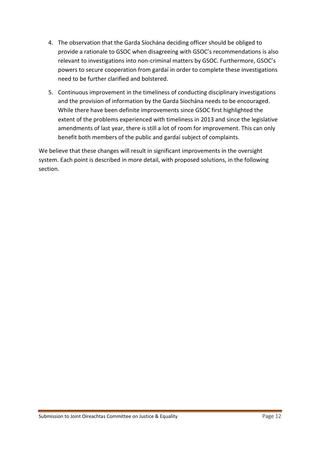- 4. The observation that the Garda Síochána deciding officer should be obliged to provide a rationale to GSOC when disagreeing with GSOC's recommendations is also relevant to investigations into non-criminal matters by GSOC. Furthermore, GSOC's powers to secure cooperation from gardaí in order to complete these investigations need to be further clarified and bolstered.
- 5. Continuous improvement in the timeliness of conducting disciplinary investigations and the provision of information by the Garda Síochána needs to be encouraged. While there have been definite improvements since GSOC first highlighted the extent of the problems experienced with timeliness in 2013 and since the legislative amendments of last year, there is still a lot of room for improvement. This can only benefit both members of the public and gardaí subject of complaints.

We believe that these changes will result in significant improvements in the oversight system. Each point is described in more detail, with proposed solutions, in the following section.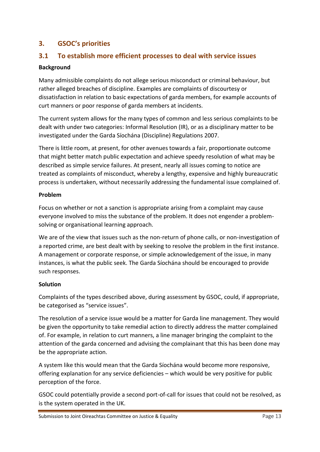# <span id="page-12-0"></span>**3. GSOC's priorities**

# <span id="page-12-1"></span>**3.1 To establish more efficient processes to deal with service issues**

### **Background**

Many admissible complaints do not allege serious misconduct or criminal behaviour, but rather alleged breaches of discipline. Examples are complaints of discourtesy or dissatisfaction in relation to basic expectations of garda members, for example accounts of curt manners or poor response of garda members at incidents.

The current system allows for the many types of common and less serious complaints to be dealt with under two categories: Informal Resolution (IR), or as a disciplinary matter to be investigated under the Garda Síochána (Discipline) Regulations 2007.

There is little room, at present, for other avenues towards a fair, proportionate outcome that might better match public expectation and achieve speedy resolution of what may be described as simple service failures. At present, nearly all issues coming to notice are treated as complaints of misconduct, whereby a lengthy, expensive and highly bureaucratic process is undertaken, without necessarily addressing the fundamental issue complained of.

### **Problem**

Focus on whether or not a sanction is appropriate arising from a complaint may cause everyone involved to miss the substance of the problem. It does not engender a problemsolving or organisational learning approach.

We are of the view that issues such as the non-return of phone calls, or non-investigation of a reported crime, are best dealt with by seeking to resolve the problem in the first instance. A management or corporate response, or simple acknowledgement of the issue, in many instances, is what the public seek. The Garda Síochána should be encouraged to provide such responses.

### **Solution**

Complaints of the types described above, during assessment by GSOC, could, if appropriate, be categorised as "service issues".

The resolution of a service issue would be a matter for Garda line management. They would be given the opportunity to take remedial action to directly address the matter complained of. For example, in relation to curt manners, a line manager bringing the complaint to the attention of the garda concerned and advising the complainant that this has been done may be the appropriate action.

A system like this would mean that the Garda Síochána would become more responsive, offering explanation for any service deficiencies – which would be very positive for public perception of the force.

GSOC could potentially provide a second port-of-call for issues that could not be resolved, as is the system operated in the UK.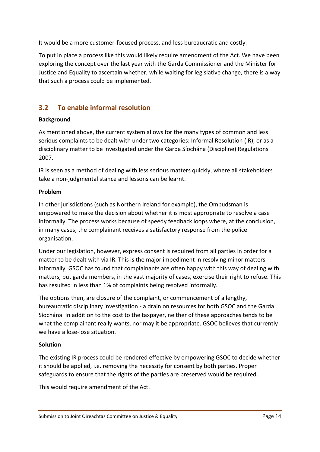It would be a more customer-focused process, and less bureaucratic and costly.

To put in place a process like this would likely require amendment of the Act. We have been exploring the concept over the last year with the Garda Commissioner and the Minister for Justice and Equality to ascertain whether, while waiting for legislative change, there is a way that such a process could be implemented.

# <span id="page-13-0"></span>**3.2 To enable informal resolution**

### **Background**

As mentioned above, the current system allows for the many types of common and less serious complaints to be dealt with under two categories: Informal Resolution (IR), or as a disciplinary matter to be investigated under the Garda Síochána (Discipline) Regulations 2007.

IR is seen as a method of dealing with less serious matters quickly, where all stakeholders take a non-judgmental stance and lessons can be learnt.

### **Problem**

In other jurisdictions (such as Northern Ireland for example), the Ombudsman is empowered to make the decision about whether it is most appropriate to resolve a case informally. The process works because of speedy feedback loops where, at the conclusion, in many cases, the complainant receives a satisfactory response from the police organisation.

Under our legislation, however, express consent is required from all parties in order for a matter to be dealt with via IR. This is the major impediment in resolving minor matters informally. GSOC has found that complainants are often happy with this way of dealing with matters, but garda members, in the vast majority of cases, exercise their right to refuse. This has resulted in less than 1% of complaints being resolved informally.

The options then, are closure of the complaint, or commencement of a lengthy, bureaucratic disciplinary investigation - a drain on resources for both GSOC and the Garda Síochána. In addition to the cost to the taxpayer, neither of these approaches tends to be what the complainant really wants, nor may it be appropriate. GSOC believes that currently we have a lose-lose situation.

### **Solution**

The existing IR process could be rendered effective by empowering GSOC to decide whether it should be applied, i.e. removing the necessity for consent by both parties. Proper safeguards to ensure that the rights of the parties are preserved would be required.

This would require amendment of the Act.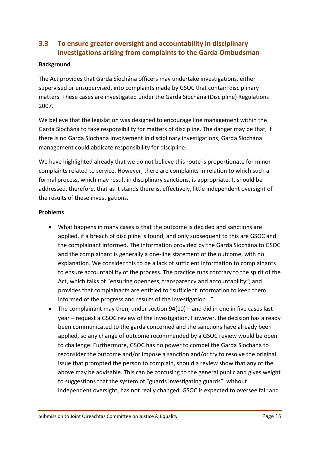# <span id="page-14-0"></span>**3.3 To ensure greater oversight and accountability in disciplinary investigations arising from complaints to the Garda Ombudsman**

### **Background**

The Act provides that Garda Síochána officers may undertake investigations, either supervised or unsupervised, into complaints made by GSOC that contain disciplinary matters. These cases are investigated under the Garda Síochána (Discipline) Regulations 2007.

We believe that the legislation was designed to encourage line management within the Garda Síochána to take responsibility for matters of discipline. The danger may be that, if there is no Garda Síochána involvement in disciplinary investigations, Garda Síochána management could abdicate responsibility for discipline.

We have highlighted already that we do not believe this route is proportionate for minor complaints related to service. However, there are complaints in relation to which such a formal process, which may result in disciplinary sanctions, is appropriate. It should be addressed, therefore, that as it stands there is, effectively, little independent oversight of the results of these investigations.

### **Problems**

- What happens in many cases is that the outcome is decided and sanctions are applied, if a breach of discipline is found, and only subsequent to this are GSOC and the complainant informed. The information provided by the Garda Síochána to GSOC and the complainant is generally a one-line statement of the outcome, with no explanation. We consider this to be a lack of sufficient information to complainants to ensure accountability of the process. The practice runs contrary to the spirit of the Act, which talks of "ensuring openness, transparency and accountability"; and provides that complainants are entitled to "sufficient information to keep them informed of the progress and results of the investigation...".
- $\bullet$  The complainant may then, under section  $94(10)$  and did in one in five cases last year – request a GSOC review of the investigation. However, the decision has already been communicated to the garda concerned and the sanctions have already been applied, so any change of outcome recommended by a GSOC review would be open to challenge. Furthermore, GSOC has no power to compel the Garda Síochána to reconsider the outcome and/or impose a sanction and/or try to resolve the original issue that prompted the person to complain, should a review show that any of the above may be advisable. This can be confusing to the general public and gives weight to suggestions that the system of "guards investigating guards", without independent oversight, has not really changed. GSOC is expected to oversee fair and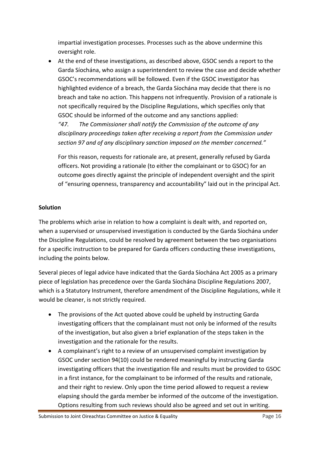impartial investigation processes. Processes such as the above undermine this oversight role.

 At the end of these investigations, as described above, GSOC sends a report to the Garda Síochána, who assign a superintendent to review the case and decide whether GSOC's recommendations will be followed. Even if the GSOC investigator has highlighted evidence of a breach, the Garda Síochána may decide that there is no breach and take no action. This happens not infrequently. Provision of a rationale is not specifically required by the Discipline Regulations, which specifies only that GSOC should be informed of the outcome and any sanctions applied:

*"47. The Commissioner shall notify the Commission of the outcome of any disciplinary proceedings taken after receiving a report from the Commission under section 97 and of any disciplinary sanction imposed on the member concerned."* 

For this reason, requests for rationale are, at present, generally refused by Garda officers. Not providing a rationale (to either the complainant or to GSOC) for an outcome goes directly against the principle of independent oversight and the spirit of "ensuring openness, transparency and accountability" laid out in the principal Act.

### **Solution**

The problems which arise in relation to how a complaint is dealt with, and reported on, when a supervised or unsupervised investigation is conducted by the Garda Síochána under the Discipline Regulations, could be resolved by agreement between the two organisations for a specific instruction to be prepared for Garda officers conducting these investigations, including the points below.

Several pieces of legal advice have indicated that the Garda Síochána Act 2005 as a primary piece of legislation has precedence over the Garda Síochána Discipline Regulations 2007, which is a Statutory Instrument, therefore amendment of the Discipline Regulations, while it would be cleaner, is not strictly required.

- The provisions of the Act quoted above could be upheld by instructing Garda investigating officers that the complainant must not only be informed of the results of the investigation, but also given a brief explanation of the steps taken in the investigation and the rationale for the results.
- A complainant's right to a review of an unsupervised complaint investigation by GSOC under section 94(10) could be rendered meaningful by instructing Garda investigating officers that the investigation file and results must be provided to GSOC in a first instance, for the complainant to be informed of the results and rationale, and their right to review. Only upon the time period allowed to request a review elapsing should the garda member be informed of the outcome of the investigation. Options resulting from such reviews should also be agreed and set out in writing.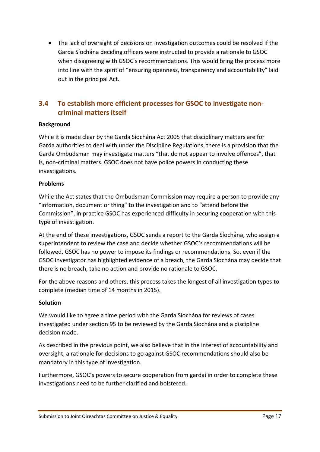The lack of oversight of decisions on investigation outcomes could be resolved if the Garda Síochána deciding officers were instructed to provide a rationale to GSOC when disagreeing with GSOC's recommendations. This would bring the process more into line with the spirit of "ensuring openness, transparency and accountability" laid out in the principal Act.

# <span id="page-16-0"></span>**3.4 To establish more efficient processes for GSOC to investigate noncriminal matters itself**

### **Background**

While it is made clear by the Garda Síochána Act 2005 that disciplinary matters are for Garda authorities to deal with under the Discipline Regulations, there is a provision that the Garda Ombudsman may investigate matters "that do not appear to involve offences", that is, non-criminal matters. GSOC does not have police powers in conducting these investigations.

### **Problems**

While the Act states that the Ombudsman Commission may require a person to provide any "information, document or thing" to the investigation and to "attend before the Commission", in practice GSOC has experienced difficulty in securing cooperation with this type of investigation.

At the end of these investigations, GSOC sends a report to the Garda Síochána, who assign a superintendent to review the case and decide whether GSOC's recommendations will be followed. GSOC has no power to impose its findings or recommendations. So, even if the GSOC investigator has highlighted evidence of a breach, the Garda Síochána may decide that there is no breach, take no action and provide no rationale to GSOC.

For the above reasons and others, this process takes the longest of all investigation types to complete (median time of 14 months in 2015).

### **Solution**

We would like to agree a time period with the Garda Síochána for reviews of cases investigated under section 95 to be reviewed by the Garda Síochána and a discipline decision made.

As described in the previous point, we also believe that in the interest of accountability and oversight, a rationale for decisions to go against GSOC recommendations should also be mandatory in this type of investigation.

Furthermore, GSOC's powers to secure cooperation from gardaí in order to complete these investigations need to be further clarified and bolstered.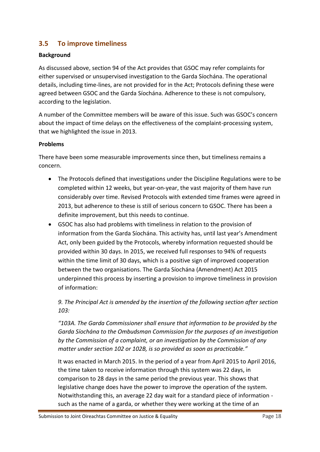# <span id="page-17-0"></span>**3.5 To improve timeliness**

#### **Background**

As discussed above, section 94 of the Act provides that GSOC may refer complaints for either supervised or unsupervised investigation to the Garda Síochána. The operational details, including time-lines, are not provided for in the Act; Protocols defining these were agreed between GSOC and the Garda Síochána. Adherence to these is not compulsory, according to the legislation.

A number of the Committee members will be aware of this issue. Such was GSOC's concern about the impact of time delays on the effectiveness of the complaint-processing system, that we highlighted the issue in 2013*.*

#### **Problems**

There have been some measurable improvements since then, but timeliness remains a concern.

- The Protocols defined that investigations under the Discipline Regulations were to be completed within 12 weeks, but year-on-year, the vast majority of them have run considerably over time. Revised Protocols with extended time frames were agreed in 2013, but adherence to these is still of serious concern to GSOC. There has been a definite improvement, but this needs to continue.
- GSOC has also had problems with timeliness in relation to the provision of information from the Garda Síochána. This activity has, until last year's Amendment Act, only been guided by the Protocols, whereby information requested should be provided within 30 days. In 2015, we received full responses to 94% of requests within the time limit of 30 days, which is a positive sign of improved cooperation between the two organisations. The Garda Síochána (Amendment) Act 2015 underpinned this process by inserting a provision to improve timeliness in provision of information:

*9. The Principal Act is amended by the insertion of the following section after section 103:*

*"103A. The Garda Commissioner shall ensure that information to be provided by the Garda Síochána to the Ombudsman Commission for the purposes of an investigation by the Commission of a complaint, or an investigation by the Commission of any matter under section 102 or 102B, is so provided as soon as practicable."*

It was enacted in March 2015. In the period of a year from April 2015 to April 2016, the time taken to receive information through this system was 22 days, in comparison to 28 days in the same period the previous year. This shows that legislative change does have the power to improve the operation of the system. Notwithstanding this, an average 22 day wait for a standard piece of information such as the name of a garda, or whether they were working at the time of an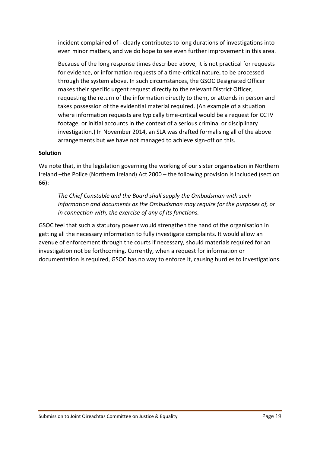incident complained of - clearly contributes to long durations of investigations into even minor matters, and we do hope to see even further improvement in this area.

Because of the long response times described above, it is not practical for requests for evidence, or information requests of a time-critical nature, to be processed through the system above. In such circumstances, the GSOC Designated Officer makes their specific urgent request directly to the relevant District Officer, requesting the return of the information directly to them, or attends in person and takes possession of the evidential material required. (An example of a situation where information requests are typically time-critical would be a request for CCTV footage, or initial accounts in the context of a serious criminal or disciplinary investigation.) In November 2014, an SLA was drafted formalising all of the above arrangements but we have not managed to achieve sign-off on this.

### **Solution**

We note that, in the legislation governing the working of our sister organisation in Northern Ireland –the Police (Northern Ireland) Act 2000 – the following provision is included (section 66):

*The Chief Constable and the Board shall supply the Ombudsman with such information and documents as the Ombudsman may require for the purposes of, or in connection with, the exercise of any of its functions.*

GSOC feel that such a statutory power would strengthen the hand of the organisation in getting all the necessary information to fully investigate complaints. It would allow an avenue of enforcement through the courts if necessary, should materials required for an investigation not be forthcoming. Currently, when a request for information or documentation is required, GSOC has no way to enforce it, causing hurdles to investigations.